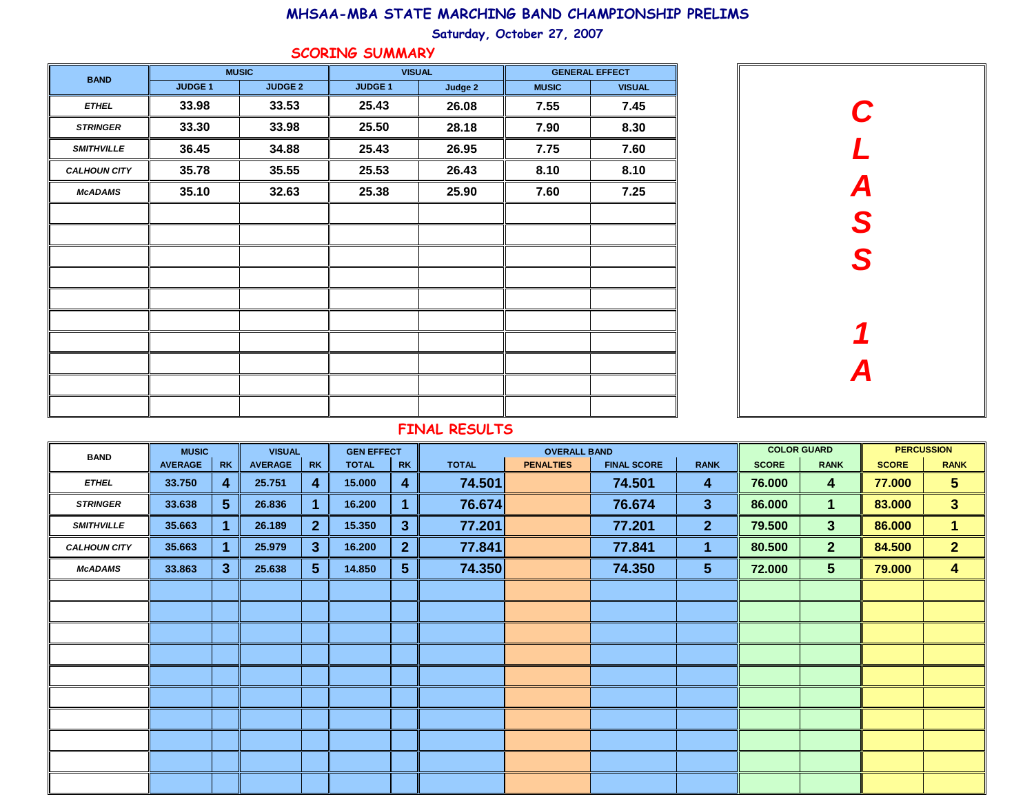Saturday, October 27, 2007

#### SCORING SUMMARY

| <b>BAND</b>         |                | <b>MUSIC</b>   | <b>VISUAL</b>  |         | <b>GENERAL EFFECT</b> |               |  |
|---------------------|----------------|----------------|----------------|---------|-----------------------|---------------|--|
|                     | <b>JUDGE 1</b> | <b>JUDGE 2</b> | <b>JUDGE 1</b> | Judge 2 | <b>MUSIC</b>          | <b>VISUAL</b> |  |
| <b>ETHEL</b>        | 33.98          | 33.53          | 25.43          | 26.08   | 7.55                  | 7.45          |  |
| <b>STRINGER</b>     | 33.30          | 33.98          | 25.50          | 28.18   | 7.90                  | 8.30          |  |
| <b>SMITHVILLE</b>   | 36.45          | 34.88          | 25.43          | 26.95   | 7.75                  | 7.60          |  |
| <b>CALHOUN CITY</b> | 35.78          | 35.55          | 25.53          | 26.43   | 8.10                  | 8.10          |  |
| <b>McADAMS</b>      | 35.10          | 32.63          | 25.38          | 25.90   | 7.60                  | 7.25          |  |
|                     |                |                |                |         |                       |               |  |
|                     |                |                |                |         |                       |               |  |
|                     |                |                |                |         |                       |               |  |
|                     |                |                |                |         |                       |               |  |
|                     |                |                |                |         |                       |               |  |
|                     |                |                |                |         |                       |               |  |
|                     |                |                |                |         |                       |               |  |
|                     |                |                |                |         |                       |               |  |
|                     |                |                |                |         |                       |               |  |
|                     |                |                |                |         |                       |               |  |



# FINAL RESULTS

| <b>BAND</b>         | <b>MUSIC</b>   |                | <b>VISUAL</b>  |                | <b>GEN EFFECT</b> |                |              | <b>OVERALL BAND</b> |                    | <b>COLOR GUARD</b> |              | <b>PERCUSSION</b> |              |                         |
|---------------------|----------------|----------------|----------------|----------------|-------------------|----------------|--------------|---------------------|--------------------|--------------------|--------------|-------------------|--------------|-------------------------|
|                     | <b>AVERAGE</b> | <b>RK</b>      | <b>AVERAGE</b> | <b>RK</b>      | <b>TOTAL</b>      | <b>RK</b>      | <b>TOTAL</b> | <b>PENALTIES</b>    | <b>FINAL SCORE</b> | <b>RANK</b>        | <b>SCORE</b> | <b>RANK</b>       | <b>SCORE</b> | <b>RANK</b>             |
| <b>ETHEL</b>        | 33.750         | $\overline{4}$ | 25.751         | 4              | 15.000            | 4              | 74.501       |                     | 74.501             | 4                  | 76.000       | 4                 | 77.000       | 5 <sup>5</sup>          |
| <b>STRINGER</b>     | 33.638         | 5 <sup>5</sup> | 26.836         | 1              | 16.200            | 1              | 76.674       |                     | 76.674             | $3\phantom{a}$     | 86.000       | $\mathbf 1$       | 83.000       | 3 <sup>2</sup>          |
| <b>SMITHVILLE</b>   | 35.663         | 1.             | 26.189         | 2 <sup>1</sup> | 15.350            | $\mathbf{3}$   | 77.201       |                     | 77.201             | 2 <sup>2</sup>     | 79.500       | 3 <sup>1</sup>    | 86.000       | $\mathbf{1}$            |
| <b>CALHOUN CITY</b> | 35.663         | 1              | 25.979         | 3 <sup>2</sup> | 16.200            | 2 <sup>2</sup> | 77.841       |                     | 77.841             | 1                  | 80.500       | 2 <sup>2</sup>    | 84.500       | 2 <sup>1</sup>          |
| <b>McADAMS</b>      | 33.863         | $\mathbf{3}$   | 25.638         | 5 <sup>5</sup> | 14.850            | 5 <sup>5</sup> | 74.350       |                     | 74.350             | $5\phantom{.0}$    | 72.000       | 5 <sup>5</sup>    | 79.000       | $\overline{\mathbf{4}}$ |
|                     |                |                |                |                |                   |                |              |                     |                    |                    |              |                   |              |                         |
|                     |                |                |                |                |                   |                |              |                     |                    |                    |              |                   |              |                         |
|                     |                |                |                |                |                   |                |              |                     |                    |                    |              |                   |              |                         |
|                     |                |                |                |                |                   |                |              |                     |                    |                    |              |                   |              |                         |
|                     |                |                |                |                |                   |                |              |                     |                    |                    |              |                   |              |                         |
|                     |                |                |                |                |                   |                |              |                     |                    |                    |              |                   |              |                         |
|                     |                |                |                |                |                   |                |              |                     |                    |                    |              |                   |              |                         |
|                     |                |                |                |                |                   |                |              |                     |                    |                    |              |                   |              |                         |
|                     |                |                |                |                |                   |                |              |                     |                    |                    |              |                   |              |                         |
|                     |                |                |                |                |                   |                |              |                     |                    |                    |              |                   |              |                         |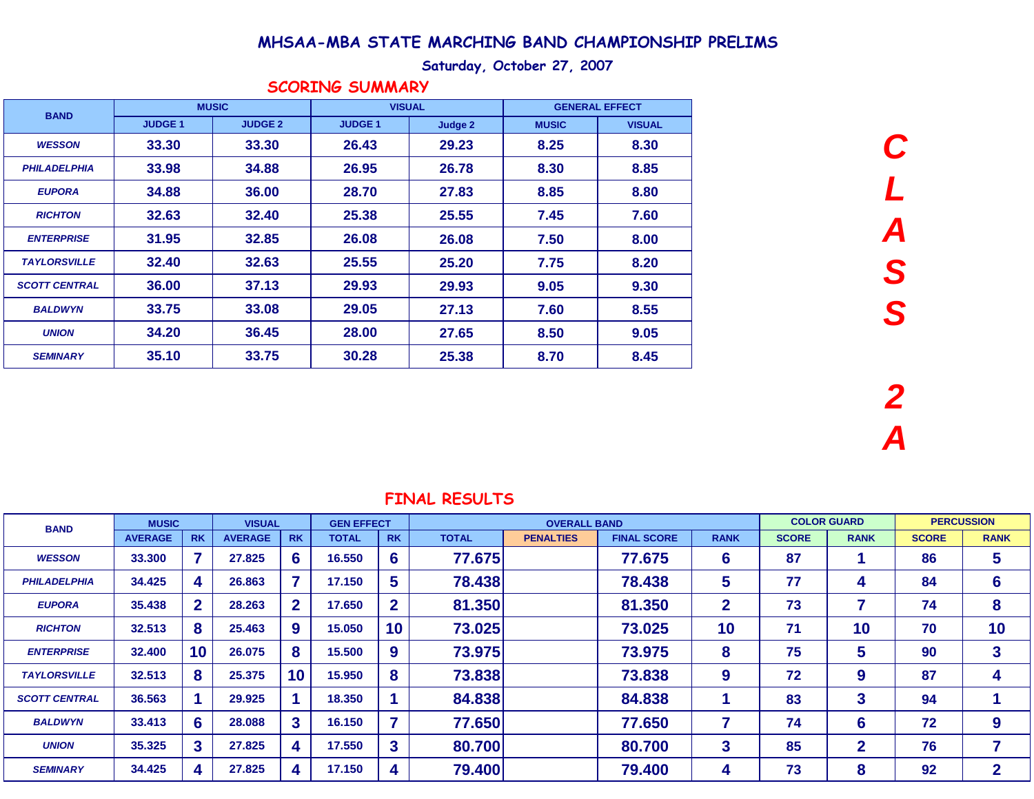### Saturday, October 27, 2007

| <b>BAND</b>          | <b>MUSIC</b>  |                | <b>VISUAL</b> |         |              | <b>GENERAL EFFECT</b> |
|----------------------|---------------|----------------|---------------|---------|--------------|-----------------------|
|                      | <b>JUDGE1</b> | <b>JUDGE 2</b> | <b>JUDGE1</b> | Judge 2 | <b>MUSIC</b> | <b>VISUAL</b>         |
| <b>WESSON</b>        | 33.30         | 33.30          | 26.43         | 29.23   | 8.25         | 8.30                  |
| <b>PHILADELPHIA</b>  | 33.98         | 34.88          | 26.95         | 26.78   | 8.30         | 8.85                  |
| <b>EUPORA</b>        | 34.88         | 36.00          | 28.70         | 27.83   | 8.85         | 8.80                  |
| <b>RICHTON</b>       | 32.63         | 32.40          | 25.38         | 25.55   | 7.45         | 7.60                  |
| <b>ENTERPRISE</b>    | 31.95         | 32.85          | 26.08         | 26.08   | 7.50         | 8.00                  |
| <b>TAYLORSVILLE</b>  | 32.40         | 32.63          | 25.55         | 25.20   | 7.75         | 8.20                  |
| <b>SCOTT CENTRAL</b> | 36.00         | 37.13          | 29.93         | 29.93   | 9.05         | 9.30                  |
| <b>BALDWYN</b>       | 33.75         | 33.08          | 29.05         | 27.13   | 7.60         | 8.55                  |
| <b>UNION</b>         | 34.20         | 36.45          | 28.00         | 27.65   | 8.50         | 9.05                  |
| <b>SEMINARY</b>      | 35.10         | 33.75          | 30.28         | 25.38   | 8.70         | 8.45                  |

## SCORING SUMMARY

**C**

**L**

**A**

**S**

**S**

|                |                |                |                |               |                |                   |                  |                          |                     |              |              |                    | <b>PERCUSSION</b>        |
|----------------|----------------|----------------|----------------|---------------|----------------|-------------------|------------------|--------------------------|---------------------|--------------|--------------|--------------------|--------------------------|
| <b>AVERAGE</b> | <b>RK</b>      | <b>AVERAGE</b> | <b>RK</b>      | <b>TOTAL</b>  | <b>RK</b>      | <b>TOTAL</b>      | <b>PENALTIES</b> | <b>FINAL SCORE</b>       | <b>RANK</b>         | <b>SCORE</b> | <b>RANK</b>  | <b>SCORE</b>       | <b>RANK</b>              |
| 33.300         |                | 27.825         | 6              | 16.550        | 6              | 77.675            |                  | 77.675                   | 6                   | 87           |              | 86                 | $\overline{\mathbf{5}}$  |
| 34.425         | 4              | 26.863         |                | 17.150        | 5              | 78.438            |                  | 78.438                   | 5                   | 77           | 4            | 84                 | $6\phantom{1}6$          |
| 35.438         | 2 <sup>1</sup> | 28.263         | $\overline{2}$ | 17.650        | $\mathbf{2}$   | 81.350            |                  | 81.350                   | $\mathbf{2}$        | 73           | 7            | 74                 | 8                        |
| 32.513         | 8              | 25.463         | 9              | 15.050        | 10             | 73.025            |                  | 73.025                   | 10                  | 71           | 10           | 70                 | 10                       |
| 32,400         | 10             | 26.075         | 8              | 15.500        | 9              | 73.975            |                  | 73,975                   | 8                   | 75           | 5            | 90                 | 3                        |
| 32.513         | 8              | 25.375         | 10             | 15.950        | 8              | 73.838            |                  | 73.838                   | 9                   | 72           | 9            | 87                 | 4                        |
| 36.563         |                | 29.925         |                | 18.350        |                | 84.838            |                  | 84.838                   |                     | 83           | 3            | 94                 |                          |
| 33.413         | 6              | 28.088         | 3              | 16.150        | $\overline{7}$ | 77.650            |                  | 77.650                   |                     | 74           | 6            | 72                 | 9                        |
| 35.325         | $\mathbf{3}$   | 27.825         | 4              | 17.550        | 3              | 80.700            |                  | 80.700                   | 3                   | 85           | $\mathbf{2}$ | 76                 | $\overline{\phantom{a}}$ |
| 34.425         | 4              | 27.825         | 4              | 17.150        | 4              |                   |                  | 79.400                   | 4                   | 73           | 8            | 92                 | $\overline{2}$           |
|                |                | <b>MUSIC</b>   |                | <b>VISUAL</b> |                | <b>GEN EFFECT</b> |                  | ט ו שטשא שמיות<br>79.400 | <b>OVERALL BAND</b> |              |              | <b>COLOR GUARD</b> |                          |

## FTNAL DESULTS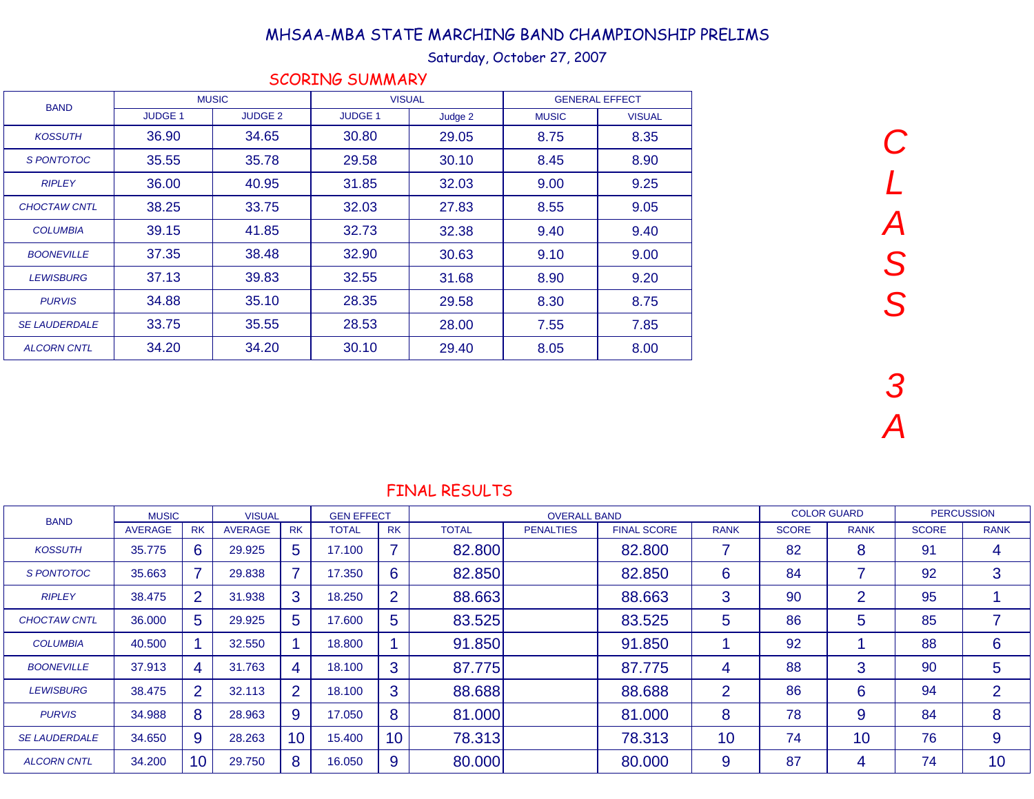## Saturday, October 27, 2007

|                      |                | <b>MUSIC</b>   |                | <b>VISUAL</b> |              | <b>GENERAL EFFECT</b> |
|----------------------|----------------|----------------|----------------|---------------|--------------|-----------------------|
| <b>BAND</b>          | <b>JUDGE 1</b> | <b>JUDGE 2</b> | <b>JUDGE 1</b> | Judge 2       | <b>MUSIC</b> | <b>VISUAL</b>         |
| <b>KOSSUTH</b>       | 36.90          | 34.65          | 30.80          | 29.05         | 8.75         | 8.35                  |
| S PONTOTOC           | 35.55          | 35.78          | 29.58          | 30.10         | 8.45         | 8.90                  |
| <b>RIPLEY</b>        | 36.00          | 40.95          | 31.85          | 32.03         | 9.00         | 9.25                  |
| <b>CHOCTAW CNTL</b>  | 38.25          | 33.75          | 32.03          | 27.83         | 8.55         | 9.05                  |
| <b>COLUMBIA</b>      | 39.15          | 41.85          | 32.73          | 32.38         | 9.40         | 9.40                  |
| <b>BOONEVILLE</b>    | 37.35          | 38.48          | 32.90          | 30.63         | 9.10         | 9.00                  |
| <b>LEWISBURG</b>     | 37.13          | 39.83          | 32.55          | 31.68         | 8.90         | 9.20                  |
| <b>PURVIS</b>        | 34.88          | 35.10          | 28.35          | 29.58         | 8.30         | 8.75                  |
| <b>SE LAUDERDALE</b> | 33.75          | 35.55          | 28.53          | 28.00         | 7.55         | 7.85                  |
| <b>ALCORN CNTL</b>   | 34.20          | 34.20          | 30.10          | 29.40         | 8.05         | 8.00                  |

SCORING SUMMARY

C

L

 $\boldsymbol{\mathcal{A}}$ 

S

S

| <b>BAND</b>          | <b>MUSIC</b>   |                | <b>VISUAL</b>  |                 | <b>GEN EFFECT</b> |                |              | <b>OVERALL BAND</b> |                    |             |              | <b>COLOR GUARD</b> |              | <b>PERCUSSION</b> |
|----------------------|----------------|----------------|----------------|-----------------|-------------------|----------------|--------------|---------------------|--------------------|-------------|--------------|--------------------|--------------|-------------------|
|                      | <b>AVERAGE</b> | <b>RK</b>      | <b>AVERAGE</b> | <b>RK</b>       | <b>TOTAL</b>      | <b>RK</b>      | <b>TOTAL</b> | <b>PENALTIES</b>    | <b>FINAL SCORE</b> | <b>RANK</b> | <b>SCORE</b> | <b>RANK</b>        | <b>SCORE</b> | <b>RANK</b>       |
| <b>KOSSUTH</b>       | 35.775         | 6              | 29.925         | 5.              | 17.100            | ⇁              | 82.800       |                     | 82.800             |             | 82           | 8                  | 91           | 4                 |
| S PONTOTOC           | 35.663         | ⇁              | 29.838         |                 | 17.350            | 6              | 82.850       |                     | 82.850             | 6           | 84           | 7                  | 92           | 3                 |
| <b>RIPLEY</b>        | 38.475         | $\overline{2}$ | 31.938         | 3               | 18.250            | $\overline{2}$ | 88.663       |                     | 88.663             | 3           | 90           | $\overline{2}$     | 95           |                   |
| <b>CHOCTAW CNTL</b>  | 36.000         | 5              | 29.925         | 5.              | 17.600            | 5              | 83.525       |                     | 83.525             | 5           | 86           | 5                  | 85           | 7                 |
| <b>COLUMBIA</b>      | 40.500         |                | 32.550         |                 | 18.800            |                | 91.850       |                     | 91.850             |             | 92           |                    | 88           | 6                 |
| <b>BOONEVILLE</b>    | 37.913         | 4              | 31.763         | 4               | 18.100            | 3              | 87.775       |                     | 87.775             | 4           | 88           | 3                  | 90           | 5                 |
| <b>LEWISBURG</b>     | 38.475         | $\overline{2}$ | 32.113         | $\overline{2}$  | 18.100            | 3              | 88.688       |                     | 88.688             | 2           | 86           | 6                  | 94           | $\overline{2}$    |
| <b>PURVIS</b>        | 34.988         | 8              | 28.963         | 9               | 17.050            | 8              | 81.000       |                     | 81.000             | 8           | 78           | 9                  | 84           | 8                 |
| <b>SE LAUDERDALE</b> | 34.650         | 9              | 28.263         | 10 <sup>°</sup> | 15.400            | 10             | 78.313       |                     | 78.313             | 10          | 74           | 10                 | 76           | 9                 |
| <b>ALCORN CNTL</b>   | 34.200         | 10             | 29.750         | 8               | 16.050            | 9              | 80.000       |                     | 80.000             | 9           | 87           | 4                  | 74           | 10                |
|                      |                |                |                |                 |                   |                |              |                     |                    |             |              |                    |              |                   |

FINAL RESULTS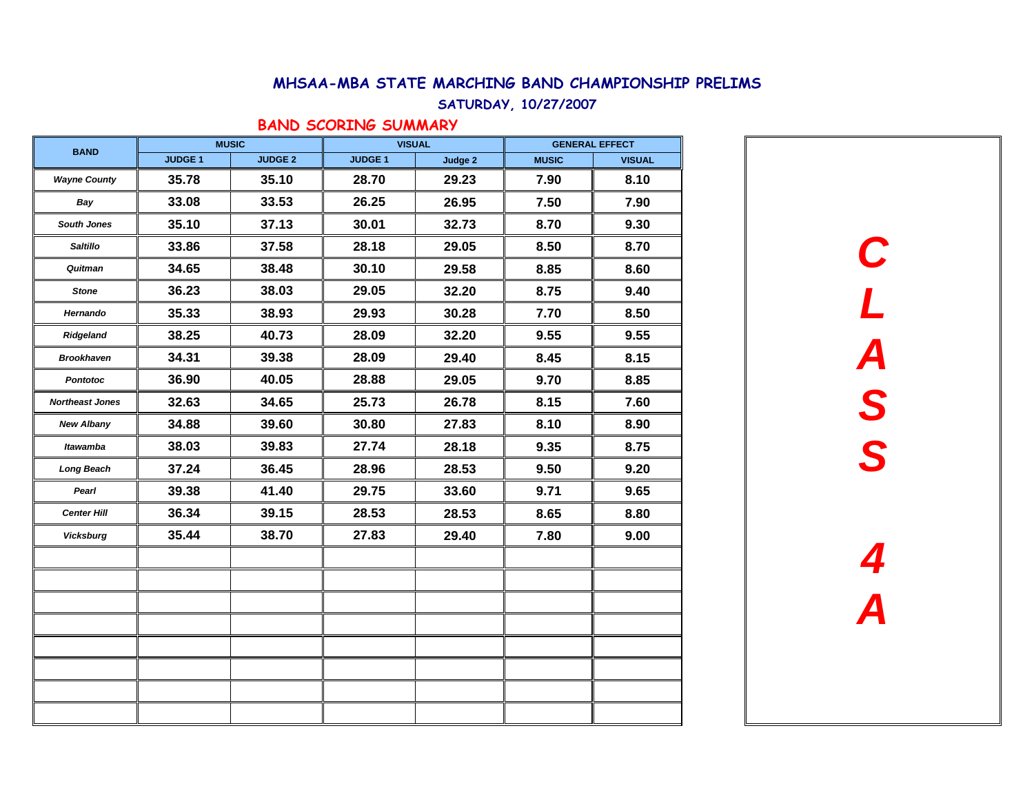#### SATURDAY, 10/27/2007

### BAND SCORING SUMMARY

| <b>BAND</b>            |                | <b>MUSIC</b>   |                | <b>VISUAL</b> | <b>GENERAL EFFECT</b> |               |  |  |
|------------------------|----------------|----------------|----------------|---------------|-----------------------|---------------|--|--|
|                        | <b>JUDGE 1</b> | <b>JUDGE 2</b> | <b>JUDGE 1</b> | Judge 2       | <b>MUSIC</b>          | <b>VISUAL</b> |  |  |
| <b>Wayne County</b>    | 35.78          | 35.10          | 28.70          | 29.23         | 7.90                  | 8.10          |  |  |
| Bay                    | 33.08          | 33.53          | 26.25          | 26.95         | 7.50                  | 7.90          |  |  |
| South Jones            | 35.10          | 37.13          | 30.01          | 32.73         | 8.70                  | 9.30          |  |  |
| <b>Saltillo</b>        | 33.86          | 37.58          | 28.18          | 29.05         | 8.50                  | 8.70          |  |  |
| Quitman                | 34.65          | 38.48          | 30.10          | 29.58         | 8.85                  | 8.60          |  |  |
| <b>Stone</b>           | 36.23          | 38.03          | 29.05          | 32.20         | 8.75                  | 9.40          |  |  |
| Hernando               | 35.33          | 38.93          | 29.93          | 30.28         | 7.70                  | 8.50          |  |  |
| Ridgeland              | 38.25          | 40.73          | 28.09          | 32.20         | 9.55                  | 9.55          |  |  |
| <b>Brookhaven</b>      | 34.31          | 39.38          | 28.09          | 29.40         | 8.45                  | 8.15          |  |  |
| <b>Pontotoc</b>        | 36.90          | 40.05          | 28.88          | 29.05         | 9.70                  | 8.85          |  |  |
| <b>Northeast Jones</b> | 32.63          | 34.65          | 25.73          | 26.78         | 8.15                  | 7.60          |  |  |
| <b>New Albany</b>      | 34.88          | 39.60          | 30.80          | 27.83         | 8.10                  | 8.90          |  |  |
| <b>Itawamba</b>        | 38.03          | 39.83          | 27.74          | 28.18         | 9.35                  | 8.75          |  |  |
| Long Beach             | 37.24          | 36.45          | 28.96          | 28.53         | 9.50                  | 9.20          |  |  |
| Pearl                  | 39.38          | 41.40          | 29.75          | 33.60         | 9.71                  | 9.65          |  |  |
| <b>Center Hill</b>     | 36.34          | 39.15          | 28.53          | 28.53         | 8.65                  | 8.80          |  |  |
| <b>Vicksburg</b>       | 35.44          | 38.70          | 27.83          | 29.40         | 7.80                  | 9.00          |  |  |
|                        |                |                |                |               |                       |               |  |  |
|                        |                |                |                |               |                       |               |  |  |
|                        |                |                |                |               |                       |               |  |  |
|                        |                |                |                |               |                       |               |  |  |
|                        |                |                |                |               |                       |               |  |  |
|                        |                |                |                |               |                       |               |  |  |
|                        |                |                |                |               |                       |               |  |  |

**CL ASS4A**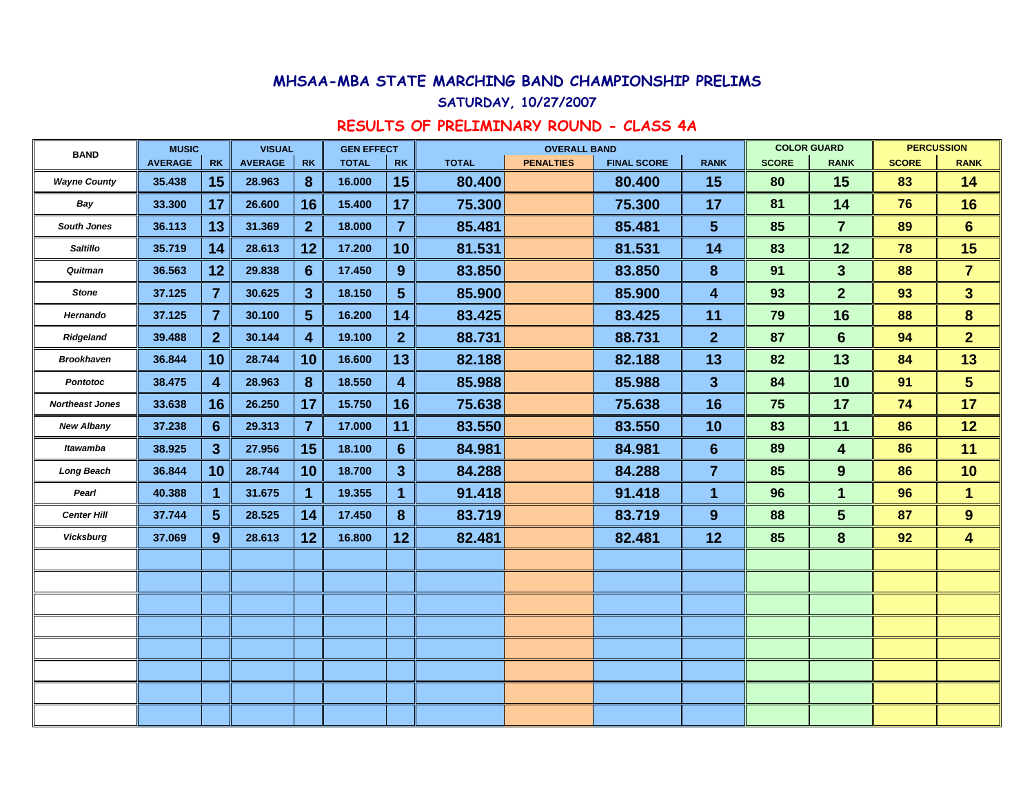#### SATURDAY, 10/27/2007

# RESULTS OF PRELIMINARY ROUND - CLASS 4A

| <b>BAND</b>            | <b>MUSIC</b>   |                 | <b>VISUAL</b>  |                 | <b>GEN EFFECT</b> |                |              | <b>OVERALL BAND</b> |                    |                | <b>COLOR GUARD</b> |                         |              | <b>PERCUSSION</b> |
|------------------------|----------------|-----------------|----------------|-----------------|-------------------|----------------|--------------|---------------------|--------------------|----------------|--------------------|-------------------------|--------------|-------------------|
|                        | <b>AVERAGE</b> | <b>RK</b>       | <b>AVERAGE</b> | <b>RK</b>       | <b>TOTAL</b>      | <b>RK</b>      | <b>TOTAL</b> | <b>PENALTIES</b>    | <b>FINAL SCORE</b> | <b>RANK</b>    | <b>SCORE</b>       | <b>RANK</b>             | <b>SCORE</b> | <b>RANK</b>       |
| <b>Wayne County</b>    | 35.438         | 15              | 28.963         | 8               | 16.000            | 15             | 80.400       |                     | 80.400             | 15             | 80                 | 15                      | 83           | 14                |
| Bay                    | 33.300         | 17              | 26,600         | 16              | 15.400            | 17             | 75.300       |                     | 75.300             | 17             | 81                 | 14                      | 76           | 16                |
| <b>South Jones</b>     | 36.113         | 13              | 31.369         | $\overline{2}$  | 18.000            | $\overline{7}$ | 85.481       |                     | 85.481             | 5 <sup>5</sup> | 85                 | $\overline{7}$          | 89           | $6\phantom{1}$    |
| <b>Saltillo</b>        | 35.719         | 14              | 28.613         | 12              | 17.200            | 10             | 81.531       |                     | 81.531             | 14             | 83                 | 12                      | 78           | 15                |
| Quitman                | 36.563         | 12              | 29.838         | $6\phantom{1}6$ | 17.450            | $9^{\circ}$    | 83.850       |                     | 83.850             | 8              | 91                 | 3 <sup>5</sup>          | 88           | $\overline{7}$    |
| <b>Stone</b>           | 37.125         | $\overline{7}$  | 30.625         | $\mathbf{3}$    | 18.150            | 5 <sup>5</sup> | 85.900       |                     | 85.900             | 4              | 93                 | $\overline{2}$          | 93           | 3 <sup>5</sup>    |
| Hernando               | 37.125         | $\overline{7}$  | 30.100         | $5\phantom{1}$  | 16.200            | 14             | 83.425       |                     | 83.425             | 11             | 79                 | 16                      | 88           | $\bf{8}$          |
| Ridgeland              | 39.488         | $\overline{2}$  | 30.144         | $\overline{4}$  | 19.100            | 2 <sup>1</sup> | 88.731       |                     | 88.731             | 2 <sup>1</sup> | 87                 | $6\phantom{1}6$         | 94           | 2 <sup>1</sup>    |
| <b>Brookhaven</b>      | 36.844         | 10              | 28.744         | 10              | 16,600            | 13             | 82.188       |                     | 82.188             | 13             | 82                 | 13                      | 84           | 13                |
| <b>Pontotoc</b>        | 38.475         | 4               | 28.963         | 8               | 18.550            | 4              | 85.988       |                     | 85.988             | $\mathbf{3}$   | 84                 | 10                      | 91           | 5 <sup>5</sup>    |
| <b>Northeast Jones</b> | 33.638         | 16              | 26.250         | 17              | 15.750            | 16             | 75.638       |                     | 75.638             | 16             | 75                 | 17                      | 74           | 17                |
| <b>New Albany</b>      | 37.238         | $6\phantom{1}$  | 29.313         | $\overline{7}$  | 17.000            | 11             | 83.550       |                     | 83.550             | 10             | 83                 | 11                      | 86           | 12                |
| <b>Itawamba</b>        | 38.925         | 3 <sup>5</sup>  | 27.956         | 15              | 18.100            | $6\phantom{1}$ | 84.981       |                     | 84.981             | 6              | 89                 | $\overline{\mathbf{4}}$ | 86           | 11                |
| Long Beach             | 36.844         | 10              | 28.744         | 10              | 18.700            | 3 <sup>5</sup> | 84.288       |                     | 84.288             | $\overline{7}$ | 85                 | 9                       | 86           | 10                |
| Pearl                  | 40.388         | 1               | 31.675         | 1               | 19.355            | 1              | 91.418       |                     | 91.418             | 1              | 96                 | 1                       | 96           | $\mathbf{1}$      |
| <b>Center Hill</b>     | 37.744         | $5\phantom{.0}$ | 28.525         | 14              | 17.450            | 8              | 83.719       |                     | 83.719             | 9              | 88                 | 5                       | 87           | 9                 |
| <b>Vicksburg</b>       | 37.069         | 9               | 28.613         | 12              | 16.800            | 12             | 82.481       |                     | 82.481             | 12             | 85                 | 8                       | 92           | 4                 |
|                        |                |                 |                |                 |                   |                |              |                     |                    |                |                    |                         |              |                   |
|                        |                |                 |                |                 |                   |                |              |                     |                    |                |                    |                         |              |                   |
|                        |                |                 |                |                 |                   |                |              |                     |                    |                |                    |                         |              |                   |
|                        |                |                 |                |                 |                   |                |              |                     |                    |                |                    |                         |              |                   |
|                        |                |                 |                |                 |                   |                |              |                     |                    |                |                    |                         |              |                   |
|                        |                |                 |                |                 |                   |                |              |                     |                    |                |                    |                         |              |                   |
|                        |                |                 |                |                 |                   |                |              |                     |                    |                |                    |                         |              |                   |
|                        |                |                 |                |                 |                   |                |              |                     |                    |                |                    |                         |              |                   |